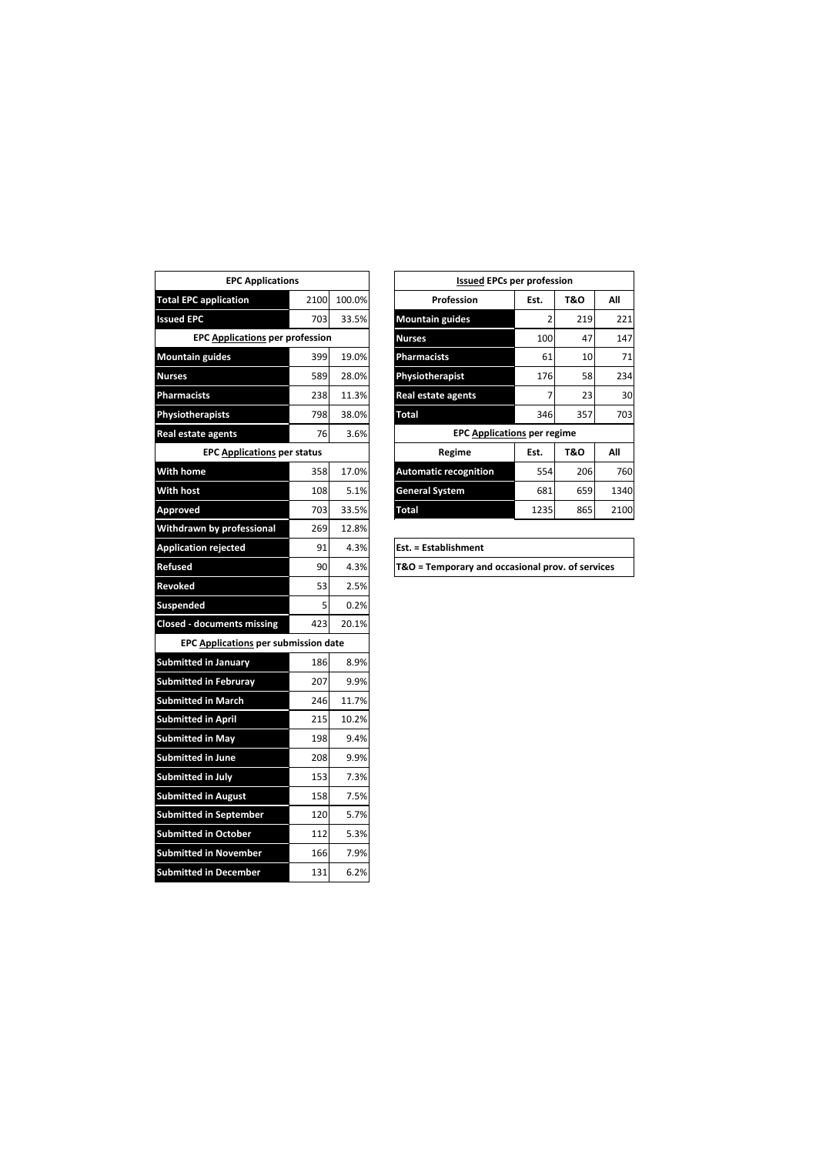| <b>EPC Applications</b>                     |      |        |
|---------------------------------------------|------|--------|
| <b>Total EPC application</b>                | 2100 | 100.0% |
| <b>Issued EPC</b>                           | 703  | 33.5%  |
| <b>EPC Applications per profession</b>      |      |        |
| <b>Mountain guides</b>                      | 399  | 19.0%  |
| <b>Nurses</b>                               | 589  | 28.0%  |
| <b>Pharmacists</b>                          | 238  | 11.3%  |
| Physiotherapists                            | 798  | 38.0%  |
| <b>Real estate agents</b>                   | 76   | 3.6%   |
| <b>EPC Applications per status</b>          |      |        |
| <b>With home</b>                            | 358  | 17.0%  |
| <b>With host</b>                            | 108  | 5.1%   |
| Approved                                    | 703  | 33.5%  |
| Withdrawn by professional                   | 269  | 12.8%  |
| <b>Application rejected</b>                 | 91   | 4.3%   |
| <b>Refused</b>                              | 90   | 4.3%   |
| Revoked                                     | 53   | 2.5%   |
| <b>Suspended</b>                            | 5    | 0.2%   |
| <b>Closed - documents missing</b>           | 423  | 20.1%  |
| <b>EPC Applications per submission date</b> |      |        |
| <b>Submitted in January</b>                 | 186  | 8.9%   |
| <b>Submitted in Februrav</b>                | 207  | 9.9%   |
| <b>Submitted in March</b>                   | 246  | 11.7%  |
| <b>Submitted in April</b>                   | 215  | 10.2%  |
| <b>Submitted in May</b>                     | 198  | 9.4%   |
| <b>Submitted in June</b>                    | 208  | 9.9%   |
| Submitted in July                           | 153  | 7.3%   |
| <b>Submitted in August</b>                  | 158  | 7.5%   |
| <b>Submitted in September</b>               | 120  | 5.7%   |
| <b>Submitted in October</b>                 | 112  | 5.3%   |
| <b>Submitted in November</b>                | 166  | 7.9%   |
| <b>Submitted in December</b>                | 131  | 6.2%   |

| <b>EPC Applications</b>                |      |        | <b>Issued EPCs per profession</b>  |      |                |      |
|----------------------------------------|------|--------|------------------------------------|------|----------------|------|
| <b>Total EPC application</b>           | 2100 | 100.0% | Profession                         | Est. | T&O            | All  |
| <b>Issued EPC</b>                      | 703  | 33.5%  | <b>Mountain guides</b>             |      | 219            | 221  |
| <b>EPC Applications per profession</b> |      |        | <b>Nurses</b>                      | 100  | 47             | 147  |
| <b>Mountain guides</b>                 | 399  | 19.0%  | <b>Pharmacists</b>                 | 61   | 10             | 71   |
| <b>Nurses</b>                          | 589  | 28.0%  | Physiotherapist                    | 176  | 58             | 234  |
| <b>Pharmacists</b>                     | 238  | 11.3%  | <b>Real estate agents</b>          |      | 23             | 30   |
| Physiotherapists                       | 798  | 38.0%  | <b>Total</b>                       | 346  | 357            | 703  |
| Real estate agents                     | 76   | 3.6%   | <b>EPC Applications per regime</b> |      |                |      |
| <b>EPC Applications per status</b>     |      |        | Regime                             | Est. | <b>T&amp;O</b> | All  |
| With home                              | 358  | 17.0%  | <b>Automatic recognition</b>       | 554  | 206            | 760  |
| <b>With host</b>                       | 108  | 5.1%   | <b>General System</b>              | 681  | 659            | 1340 |
| Approved                               | 703  | 33.5%  | <b>Total</b>                       | 1235 | 865            | 2100 |
| . .                                    |      |        |                                    |      |                |      |

| Est. = Establishment                             |
|--------------------------------------------------|
| T&O = Temporary and occasional prov. of services |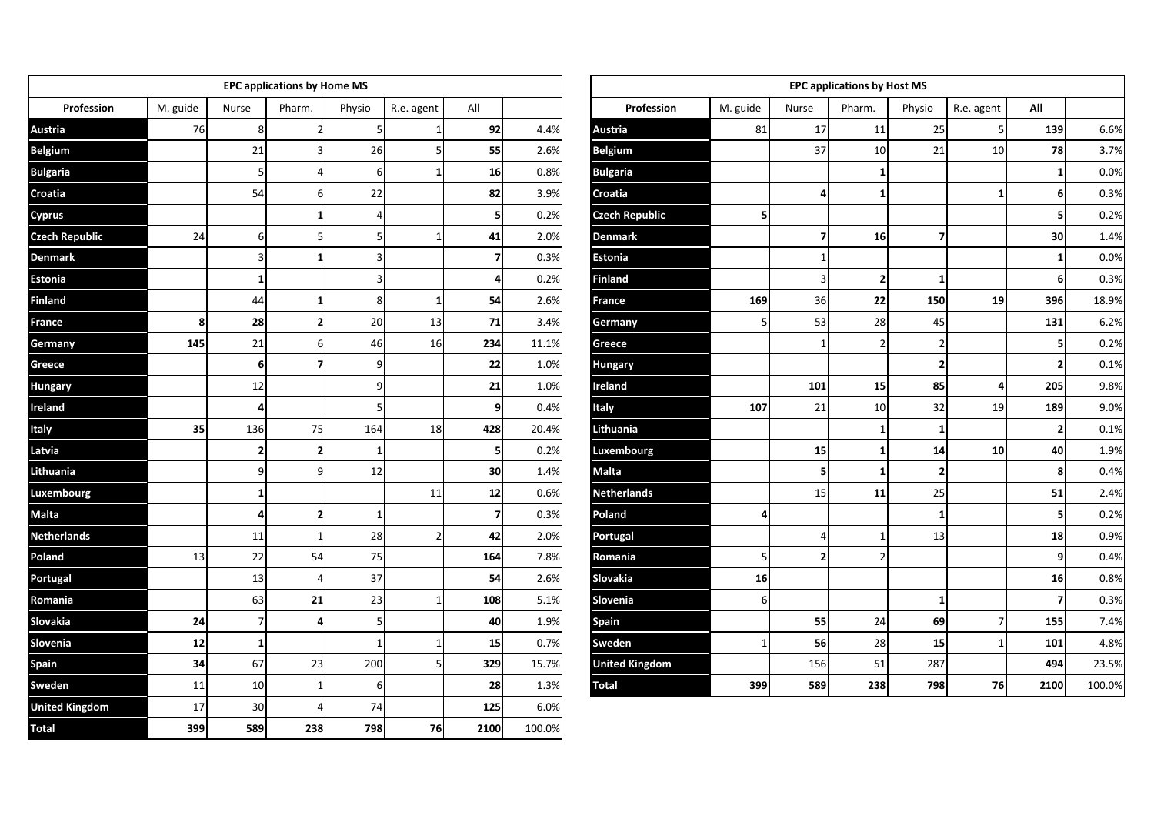|                       |          |                | <b>EPC applications by Home MS</b> |              |                |                |        |                       |          |                | <b>EPC applications by Host MS</b> |                |                     |                |        |
|-----------------------|----------|----------------|------------------------------------|--------------|----------------|----------------|--------|-----------------------|----------|----------------|------------------------------------|----------------|---------------------|----------------|--------|
| Profession            | M. guide | Nurse          | Pharm.                             | Physio       | R.e. agent     | All            |        | Profession            | M. guide | Nurse          | Pharm.                             | Physio         | R.e. agent          | All            |        |
| Austria               | 76       | 8              |                                    |              |                | 92             | 4.4%   | Austria               | 81       | 17             | 11                                 | 25             | 5 <sub>l</sub>      | 139            | 6.6%   |
| <b>Belgium</b>        |          | 21             |                                    | 26           | 5              | 55             | 2.6%   | Belgium               |          | 37             | 10                                 | 21             | 10                  | 78             | 3.7%   |
| <b>Bulgaria</b>       |          | 5              | 4                                  | 6            | $\mathbf{1}$   | 16             | 0.8%   | <b>Bulgaria</b>       |          |                | 1                                  |                |                     | $\mathbf{1}$   | 0.0%   |
| Croatia               |          | 54             |                                    | 22           |                | 82             | 3.9%   | Croatia               |          | 4              | 1                                  |                | $1\vert$            | 6 <sup>1</sup> | 0.3%   |
| <b>Cyprus</b>         |          |                |                                    |              |                | 5              | 0.2%   | <b>Czech Republic</b> | 5        |                |                                    |                |                     | 5              | 0.2%   |
| <b>Czech Republic</b> | 24       | 6              | 5                                  |              | $\mathbf{1}$   | 41             | 2.0%   | Denmark               |          | $\overline{7}$ | 16                                 | $\overline{z}$ |                     | 30             | 1.4%   |
| <b>Denmark</b>        |          | 3              |                                    |              |                | $\overline{7}$ | 0.3%   | Estonia               |          | $\mathbf{1}$   |                                    |                |                     | $\mathbf{1}$   | 0.0%   |
| Estonia               |          | 1              |                                    |              |                | $\overline{4}$ | 0.2%   | <b>Finland</b>        |          | $\overline{3}$ | $\overline{2}$                     | $\mathbf{1}$   |                     | 6 <sup>1</sup> | 0.3%   |
| Finland               |          | 44             | 1                                  | 8            | $\mathbf{1}$   | 54             | 2.6%   | France                | 169      | 36             | 22                                 | 150            | 19                  | 396            | 18.9%  |
| France                | 8        | 28             | $\overline{2}$                     | 20           | 13             | 71             | 3.4%   | Germany               | 5        | 53             | 28                                 | 45             |                     | 131            | 6.2%   |
| Germany               | 145      | 21             | 6                                  | 46           | 16             | 234            | 11.1%  | Greece                |          | $\mathbf{1}$   | $\overline{2}$                     | $\overline{2}$ |                     | $\sf s$        | 0.2%   |
| Greece                |          | 6              | $\overline{7}$                     | q            |                | 22             | 1.0%   | Hungary               |          |                |                                    | $\overline{2}$ |                     | $\mathbf{2}$   | 0.1%   |
| Hungary               |          | 12             |                                    | q            |                | 21             | 1.0%   | Ireland               |          | 101            | 15                                 | 85             | $\overline{\bf{4}}$ | 205            | 9.8%   |
| Ireland               |          | Δ              |                                    |              |                | $\overline{9}$ | 0.4%   | Italy                 | 107      | 21             | 10                                 | 32             | 19                  | 189            | 9.0%   |
| Italy                 | 35       | 136            | 75                                 | 164          | 18             | 428            | 20.4%  | Lithuania             |          |                | 1                                  | $\mathbf{1}$   |                     | $\mathbf{2}$   | 0.1%   |
| Latvia                |          | $\overline{2}$ | $\overline{2}$                     |              |                | 5 <sup>1</sup> | 0.2%   | Luxembourg            |          | 15             | 1                                  | 14             | 10                  | 40             | 1.9%   |
| Lithuania             |          | c              | q                                  | 12           |                | 30             | 1.4%   | Malta                 |          | 5 <sup>1</sup> | $\mathbf{1}$                       | $\overline{2}$ |                     | 8              | 0.4%   |
| Luxembourg            |          | 1              |                                    |              | 11             | 12             | 0.6%   | <b>Netherlands</b>    |          | 15             | 11                                 | 25             |                     | 51             | 2.4%   |
| Malta                 |          | Δ              | $\overline{2}$                     |              |                | $\overline{z}$ | 0.3%   | Poland                | 4        |                |                                    | $\mathbf{1}$   |                     | ${\sf s}$      | 0.2%   |
| <b>Netherlands</b>    |          | 11             |                                    | 28           | $\overline{2}$ | 42             | 2.0%   | Portugal              |          | $\overline{4}$ | $\mathbf{1}$                       | 13             |                     | 18             | 0.9%   |
| Poland                | 13       | 22             | 54                                 | 75           |                | 164            | 7.8%   | Romania               | 5        | 2 <sub>1</sub> | $\overline{2}$                     |                |                     | $\overline{9}$ | 0.4%   |
| Portugal              |          | 13             |                                    | 37           |                | 54             | 2.6%   | Slovakia              | 16       |                |                                    |                |                     | 16             | 0.8%   |
| Romania               |          | 63             | 21                                 | 23           |                | 108            | 5.1%   | Slovenia              | 6        |                |                                    | 1              |                     | $\overline{7}$ | 0.3%   |
| Slovakia              | 24       |                |                                    |              |                | 40             | 1.9%   | <b>Spain</b>          |          | 55             | 24                                 | 69             | $\overline{7}$      | 155            | 7.4%   |
| Slovenia              | 12       | $\mathbf{1}$   |                                    | $\mathbf{1}$ | $1\vert$       | 15             | 0.7%   | Sweden                | 1        | 56             | 28                                 | 15             | $1\overline{ }$     | 101            | 4.8%   |
| Spain                 | 34       | 67             | 23                                 | 200          | 5 <sub>l</sub> | 329            | 15.7%  | <b>United Kingdom</b> |          | 156            | 51                                 | 287            |                     | 494            | 23.5%  |
| Sweden                | 11       | 10             |                                    | 6            |                | 28             | 1.3%   | Total                 | 399      | 589            | 238                                | 798            | 76                  | 2100           | 100.0% |
| <b>United Kingdom</b> | 17       | 30             |                                    | 74           |                | 125            | 6.0%   |                       |          |                |                                    |                |                     |                |        |
| Total                 | 399      | 589            | 238                                | 798          | 76             | 2100           | 100.0% |                       |          |                |                                    |                |                     |                |        |

|                       |          |              | <b>EPC applications by Host MS</b> |                         |             |      |        |
|-----------------------|----------|--------------|------------------------------------|-------------------------|-------------|------|--------|
| Profession            | M. guide | Nurse        | Pharm.                             | Physio                  | R.e. agent  | All  |        |
| <b>Austria</b>        | 81       | 17           | 11                                 | 25                      | 5           | 139  | 6.6%   |
| <b>Belgium</b>        |          | 37           | 10                                 | 21                      | 10          | 78   | 3.7%   |
| <b>Bulgaria</b>       |          |              | $\mathbf{1}$                       |                         |             | 1    | 0.0%   |
| Croatia               |          | 4            | $\mathbf{1}$                       |                         | 1           | 6    | 0.3%   |
| <b>Czech Republic</b> | 5        |              |                                    |                         |             | 5    | 0.2%   |
| <b>Denmark</b>        |          | 7            | 16                                 | 7                       |             | 30   | 1.4%   |
| <b>Estonia</b>        |          | $\mathbf{1}$ |                                    |                         |             | 1    | 0.0%   |
| <b>Finland</b>        |          | 3            | $\mathbf{2}$                       | 1                       |             | 6    | 0.3%   |
| France                | 169      | 36           | 22                                 | 150                     | 19          | 396  | 18.9%  |
| Germany               | 5        | 53           | 28                                 | 45                      |             | 131  | 6.2%   |
| Greece                |          | 1            | 2                                  | $\overline{2}$          |             | 5    | 0.2%   |
| Hungary               |          |              |                                    | 2                       |             | 2    | 0.1%   |
| Ireland               |          | 101          | 15                                 | 85                      | 4           | 205  | 9.8%   |
| Italy                 | 107      | 21           | 10                                 | 32                      | 19          | 189  | 9.0%   |
| Lithuania             |          |              | $\mathbf{1}$                       | $\mathbf{1}$            |             | 2    | 0.1%   |
| Luxembourg            |          | 15           | $\mathbf{1}$                       | 14                      | 10          | 40   | 1.9%   |
| <b>Malta</b>          |          | 5            | $\mathbf{1}$                       | $\overline{\mathbf{2}}$ |             | 8    | 0.4%   |
| <b>Netherlands</b>    |          | 15           | 11                                 | 25                      |             | 51   | 2.4%   |
| Poland                | 4        |              |                                    | 1                       |             | 5    | 0.2%   |
| Portugal              |          | 4            | 1                                  | 13                      |             | 18   | 0.9%   |
| Romania               | 5        | 2            | $\overline{2}$                     |                         |             | 9    | 0.4%   |
| Slovakia              | 16       |              |                                    |                         |             | 16   | 0.8%   |
| Slovenia              | 6        |              |                                    | 1                       |             | 7    | 0.3%   |
| <b>Spain</b>          |          | 55           | 24                                 | 69                      | 7           | 155  | 7.4%   |
| Sweden                | 1        | 56           | 28                                 | 15                      | $\mathbf 1$ | 101  | 4.8%   |
| <b>United Kingdom</b> |          | 156          | 51                                 | 287                     |             | 494  | 23.5%  |
| <b>Total</b>          | 399      | 589          | 238                                | 798                     | 76          | 2100 | 100.0% |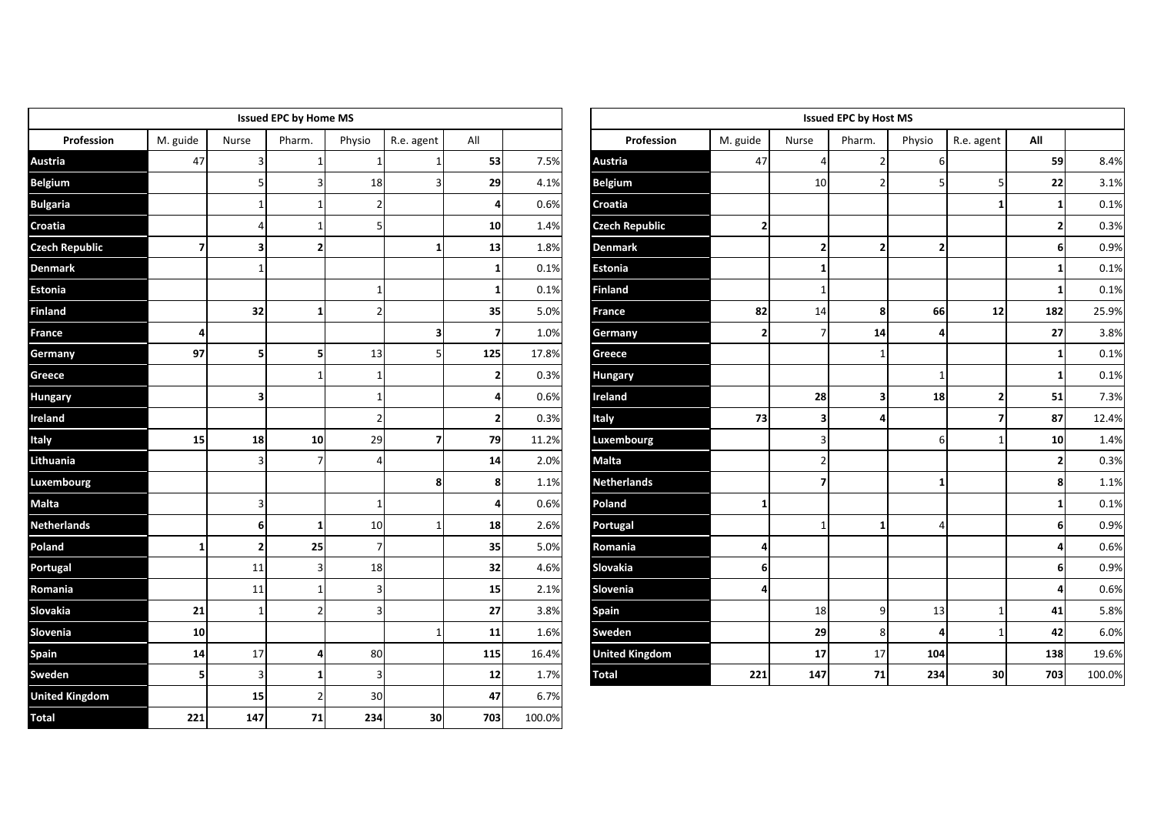|                       |                |                         | <b>Issued EPC by Home MS</b> |        |              |                  |        |                       |              |                         | <b>Issued EPC by Host MS</b> |                |                |                         |        |
|-----------------------|----------------|-------------------------|------------------------------|--------|--------------|------------------|--------|-----------------------|--------------|-------------------------|------------------------------|----------------|----------------|-------------------------|--------|
| Profession            | M. guide       | Nurse                   | Pharm.                       | Physio | R.e. agent   | All              |        | Profession            | M. guide     | Nurse                   | Pharm.                       | Physio         | R.e. agent     | All                     |        |
| <b>Austria</b>        | 47             | $\overline{3}$          |                              |        |              | 53               | 7.5%   | Austria               | 47           | 4                       | $\overline{2}$               | 6              |                | 59                      | 8.4%   |
| <b>Belgium</b>        |                | 5                       |                              | 18     | 3            | 29               | 4.1%   | <b>Belgium</b>        |              | 10                      | $\overline{2}$               |                | 5              | 22                      | 3.1%   |
| <b>Bulgaria</b>       |                | $\mathbf{1}$            |                              |        |              | $\overline{4}$   | 0.6%   | Croatia               |              |                         |                              |                | $\mathbf{1}$   | $\mathbf{1}$            | 0.1%   |
| Croatia               |                | 4                       |                              |        |              | 10               | 1.4%   | <b>Czech Republic</b> | $\mathbf{2}$ |                         |                              |                |                | $\mathbf{2}$            | 0.3%   |
| <b>Czech Republic</b> | $\overline{7}$ | 3                       | $\overline{2}$               |        | $\mathbf{1}$ | 13               | 1.8%   | <b>Denmark</b>        |              | $\mathbf{2}$            | $\overline{2}$               | $\overline{2}$ |                | $6 \mid$                | 0.9%   |
| <b>Denmark</b>        |                | $\overline{1}$          |                              |        |              | $\mathbf{1}$     | 0.1%   | Estonia               |              | 1 <sup>1</sup>          |                              |                |                | $\mathbf{1}$            | 0.1%   |
| <b>Estonia</b>        |                |                         |                              |        |              | $\mathbf{1}$     | 0.1%   | <b>Finland</b>        |              | 1                       |                              |                |                | $\mathbf{1}$            | 0.1%   |
| <b>Finland</b>        |                | 32                      | -1                           |        |              | 35               | 5.0%   | France                | 82           | 14                      | 8                            | 66             | 12             | 182                     | 25.9%  |
| France                | 4              |                         |                              |        | 3            | $\overline{7}$   | 1.0%   | Germany               | $\mathbf{2}$ | 7 <sup>1</sup>          | 14                           | 4              |                | 27                      | 3.8%   |
| Germany               | 97             | 5                       | 5                            | 13     | 5            | 125              | 17.8%  | Greece                |              |                         |                              |                |                | $\mathbf{1}$            | 0.1%   |
| Greece                |                |                         |                              |        |              | 2 <sub>1</sub>   | 0.3%   | Hungary               |              |                         |                              |                |                | $\mathbf{1}$            | 0.1%   |
| <b>Hungary</b>        |                | $\overline{\mathbf{3}}$ |                              |        |              | $\boldsymbol{4}$ | 0.6%   | Ireland               |              | 28                      | $\overline{\mathbf{3}}$      | 18             | $\mathbf{2}$   | 51                      | 7.3%   |
| Ireland               |                |                         |                              |        |              | $\mathbf{2}$     | 0.3%   | Italy                 | 73           | $\overline{\mathbf{3}}$ |                              |                | $\overline{z}$ | 87                      | 12.4%  |
| Italy                 | 15             | 18                      | 10                           | 29     | 7            | 79               | 11.2%  | Luxembourg            |              | 3                       |                              | 6              | $\mathbf{1}$   | 10                      | 1.4%   |
| Lithuania             |                | $\overline{3}$          |                              |        |              | 14               | 2.0%   | Malta                 |              |                         |                              |                |                | $\mathbf 2$             | 0.3%   |
| Luxembourg            |                |                         |                              |        | 8            | 8                | 1.1%   | <b>Netherlands</b>    |              | $\overline{7}$          |                              | 1              |                | 8                       | 1.1%   |
| <b>Malta</b>          |                | 3                       |                              |        |              | 4                | 0.6%   | Poland                | 1            |                         |                              |                |                | $\mathbf{1}$            | 0.1%   |
| <b>Netherlands</b>    |                | 6                       | $\mathbf{1}$                 | 10     |              | 18               | 2.6%   | Portugal              |              | $\mathbf{1}$            | $\mathbf{1}$                 | $\Delta$       |                | 6                       | 0.9%   |
| Poland                | $\mathbf{1}$   | $\overline{2}$          | 25                           |        |              | 35               | 5.0%   | Romania               | Δ            |                         |                              |                |                | $\overline{4}$          | 0.6%   |
| Portugal              |                | 11                      |                              | 18     |              | 32               | 4.6%   | Slovakia              | 6            |                         |                              |                |                | 6                       | 0.9%   |
| Romania               |                | 11                      |                              |        |              | 15               | 2.1%   | Slovenia              | 4            |                         |                              |                |                | $\overline{\mathbf{a}}$ | 0.6%   |
| Slovakia              | 21             | $\mathbf{1}$            | 2                            |        |              | 27               | 3.8%   | Spain                 |              | 18                      | 9                            | 13             | $\mathbf{1}$   | 41                      | 5.8%   |
| Slovenia              | 10             |                         |                              |        |              | 11               | 1.6%   | Sweden                |              | 29                      | 8                            | 4              | $\mathbf{1}$   | 42                      | 6.0%   |
| Spain                 | 14             | $17\,$                  | Δ                            | 80     |              | 115              | 16.4%  | <b>United Kingdom</b> |              | 17                      | 17                           | 104            |                | 138                     | 19.6%  |
| Sweden                | 5              | $\overline{3}$          | -1                           |        |              | 12               | 1.7%   | <b>Total</b>          | 221          | 147                     | ${\bf 71}$                   | 234            | 30             | 703                     | 100.0% |
| <b>United Kingdom</b> |                | 15                      |                              | 30     |              | 47               | 6.7%   |                       |              |                         |                              |                |                |                         |        |
| <b>Total</b>          | 221            | 147                     | 71                           | 234    | 30           | 703              | 100.0% |                       |              |                         |                              |                |                |                         |        |

|                       |                         |                | <b>Issued EPC by Host MS</b> |        |              |                |        |
|-----------------------|-------------------------|----------------|------------------------------|--------|--------------|----------------|--------|
| Profession            | M. guide                | Nurse          | Pharm.                       | Physio | R.e. agent   | All            |        |
| Austria               | 47                      | $\sqrt{4}$     | $\overline{2}$               | 6      |              | 59             | 8.4%   |
| <b>Belgium</b>        |                         | 10             | $\overline{2}$               | 5      | 5            | 22             | 3.1%   |
| Croatia               |                         |                |                              |        | 1            | 1              | 0.1%   |
| Czech Republic        | 2                       |                |                              |        |              | $\overline{2}$ | 0.3%   |
| <b>Denmark</b>        |                         | 2              | $\mathbf{2}$                 | 2      |              | 6              | 0.9%   |
| <b>Estonia</b>        |                         | 1              |                              |        |              | 1              | 0.1%   |
| <b>Finland</b>        |                         | $\mathbf{1}$   |                              |        |              | 1              | 0.1%   |
| <b>France</b>         | 82                      | 14             | 8                            | 66     | 12           | 182            | 25.9%  |
| Germany               | $\overline{\mathbf{2}}$ | $\overline{7}$ | 14                           | 4      |              | 27             | 3.8%   |
| Greece                |                         |                | $\mathbf{1}$                 |        |              | 1              | 0.1%   |
| Hungary               |                         |                |                              | 1      |              | $\mathbf{1}$   | 0.1%   |
| Ireland               |                         | 28             | 3                            | 18     | 2            | 51             | 7.3%   |
| Italy                 | 73                      | 3              | 4                            |        | 7            | 87             | 12.4%  |
| Luxembourg            |                         | 3              |                              | 6      | $\mathbf{1}$ | 10             | 1.4%   |
| <b>Malta</b>          |                         | $\overline{2}$ |                              |        |              | $\mathbf{2}$   | 0.3%   |
| <b>Netherlands</b>    |                         | 7              |                              | 1      |              | 8              | 1.1%   |
| Poland                | 1                       |                |                              |        |              | 1              | 0.1%   |
| Portugal              |                         | $\mathbf 1$    | $\mathbf{1}$                 | 4      |              | 6              | 0.9%   |
| Romania               | 4                       |                |                              |        |              | 4              | 0.6%   |
| Slovakia              | 6                       |                |                              |        |              | 6              | 0.9%   |
| Slovenia              | 4                       |                |                              |        |              | 4              | 0.6%   |
| <b>Spain</b>          |                         | 18             | 9                            | 13     | $\mathbf 1$  | 41             | 5.8%   |
| Sweden                |                         | 29             | 8                            | 4      | $\mathbf{1}$ | 42             | 6.0%   |
| <b>United Kingdom</b> |                         | 17             | 17                           | 104    |              | 138            | 19.6%  |
| Total                 | 221                     | 147            | 71                           | 234    | 30           | 703            | 100.0% |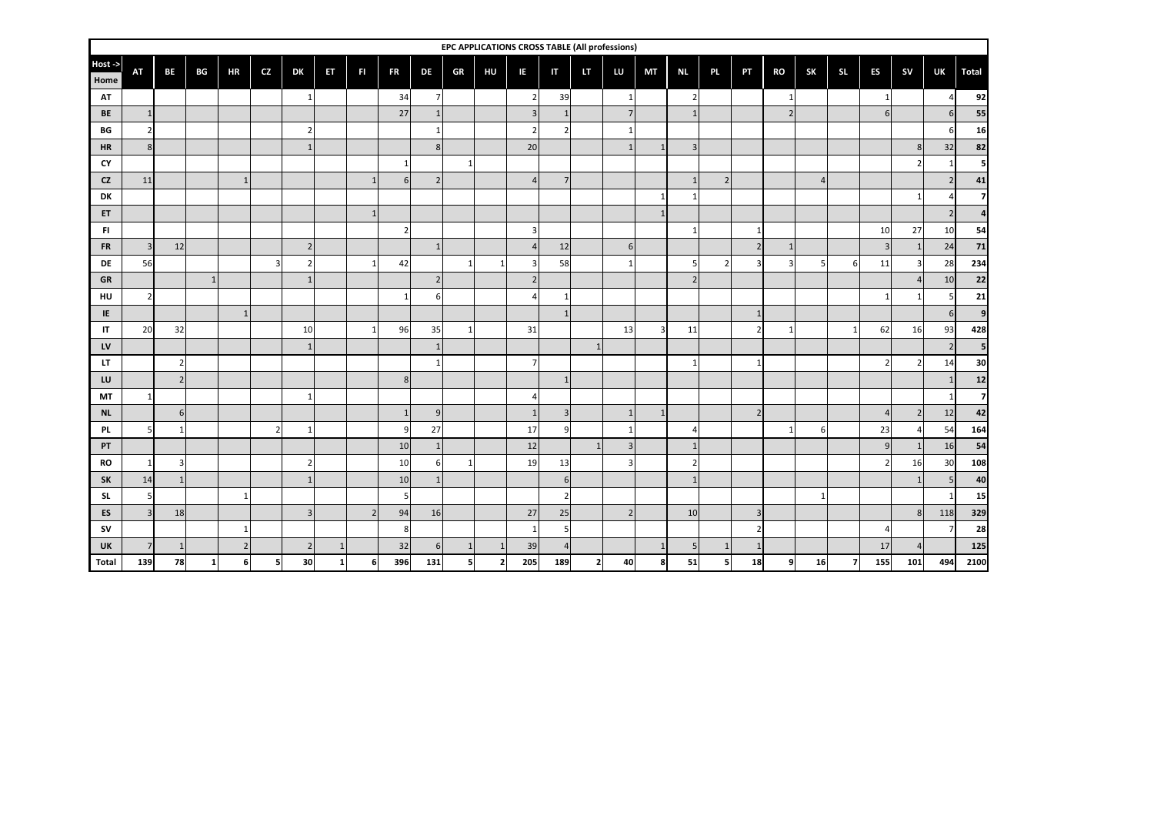|                 |                |           |              |                |     |                  |              |                |                |                |              |                          | EPC APPLICATIONS CROSS TABLE (All professions) |                |                |                |                |                |                |                |                |                |                |          |           |     |       |
|-----------------|----------------|-----------|--------------|----------------|-----|------------------|--------------|----------------|----------------|----------------|--------------|--------------------------|------------------------------------------------|----------------|----------------|----------------|----------------|----------------|----------------|----------------|----------------|----------------|----------------|----------|-----------|-----|-------|
| Host ->         | <b>AT</b>      | <b>BE</b> | BG           | <b>HR</b>      | CZ. | <b>DK</b>        | ET           | <b>FI</b>      | <b>FR</b>      | <b>DE</b>      | GR           | HU                       | IE                                             | IT             | LT             | LU             | <b>MT</b>      | <b>NL</b>      | PL.            | PT             | <b>RO</b>      | <b>SK</b>      | SL.            | ES       | <b>SV</b> | UK  | Total |
| Home            |                |           |              |                |     |                  |              |                |                |                |              |                          |                                                |                |                |                |                |                |                |                |                |                |                |          |           |     |       |
| AT              |                |           |              |                |     | $\mathbf{1}$     |              |                | 34             | $\overline{7}$ |              |                          | 2                                              | 39             |                |                |                |                |                |                |                |                |                |          |           |     | 92    |
| <b>BE</b>       | $\mathbf{1}$   |           |              |                |     |                  |              |                | 27             |                |              |                          | $\overline{3}$                                 | $\mathbf{1}$   |                | $\overline{7}$ |                |                |                |                | $\overline{2}$ |                |                | 6        |           |     | 55    |
| BG              | $\overline{2}$ |           |              |                |     | 2                |              |                |                | -1             |              |                          | $\overline{2}$                                 | $\overline{2}$ |                |                |                |                |                |                |                |                |                |          |           |     | 16    |
| <b>HR</b>       | 8              |           |              |                |     |                  |              |                |                | 8              |              |                          | 20                                             |                |                | $\mathbf{1}$   |                |                |                |                |                |                |                |          |           | 32  | 82    |
| CY<br><b>CZ</b> | 11             |           |              | $\mathbf{1}$   |     |                  |              | $\mathbf{1}$   | 6 <sup>1</sup> | $\overline{2}$ | $\mathbf{1}$ |                          | $\overline{4}$                                 | $7^{\circ}$    |                |                |                |                | 2              |                |                | $\overline{A}$ |                |          |           |     | 41    |
| DK              |                |           |              |                |     |                  |              |                |                |                |              |                          |                                                |                |                |                |                |                |                |                |                |                |                |          |           |     |       |
| ET              |                |           |              |                |     |                  |              |                |                |                |              |                          |                                                |                |                |                |                |                |                |                |                |                |                |          |           |     |       |
| FI.             |                |           |              |                |     |                  |              |                | $\overline{2}$ |                |              |                          | 3                                              |                |                |                |                |                |                | $\mathbf{1}$   |                |                |                | 10       | 27        | 10  | 54    |
| <b>FR</b>       | $\overline{3}$ | 12        |              |                |     | $2 \overline{ }$ |              |                |                | $\mathbf{1}$   |              |                          | $\overline{4}$                                 | 12             |                | 6              |                |                |                | $\overline{2}$ |                |                |                | 3        |           | 24  | 71    |
| DE              | 56             |           |              |                |     | 2                |              | $\mathbf{1}$   | 42             |                | $\mathbf{1}$ |                          | 3                                              | 58             |                | 1              |                |                | $\overline{2}$ |                |                | 5              | 6              | 11       |           | 28  | 234   |
| GR              |                |           |              |                |     | $\mathbf{1}$     |              |                |                | $\overline{2}$ |              |                          | $\overline{2}$                                 |                |                |                |                | $\overline{2}$ |                |                |                |                |                |          |           | 10  | 22    |
| HU              | 2              |           |              |                |     |                  |              |                |                | 6              |              |                          |                                                |                |                |                |                |                |                |                |                |                |                |          |           |     | 21    |
| IE              |                |           |              | $\mathbf{1}$   |     |                  |              |                |                |                |              |                          |                                                |                |                |                |                |                |                | $\mathbf{1}$   |                |                |                |          |           |     |       |
| IT              | 20             | 32        |              |                |     | 10               |              | $\mathbf{1}$   | 96             | 35             | $\mathbf{1}$ |                          | 31                                             |                |                | 13             | $\overline{3}$ | 11             |                | $\overline{2}$ | $\mathbf{1}$   |                | $\mathbf{1}$   | 62       | 16        | 93  | 428   |
| LV              |                |           |              |                |     |                  |              |                |                |                |              |                          |                                                |                |                |                |                |                |                |                |                |                |                |          |           |     |       |
| LT              |                |           |              |                |     |                  |              |                |                |                |              |                          | $\overline{7}$                                 |                |                |                |                |                |                |                |                |                |                |          |           | 14  | 30    |
| LU              |                |           |              |                |     |                  |              |                | 8              |                |              |                          |                                                | $\overline{1}$ |                |                |                |                |                |                |                |                |                |          |           |     | 12    |
| MT              | $\mathbf{1}$   |           |              |                |     | $\mathbf{1}$     |              |                |                |                |              |                          |                                                |                |                |                |                |                |                |                |                |                |                |          |           |     |       |
| <b>NL</b>       |                | 6         |              |                |     |                  |              |                |                | 9              |              |                          | $\mathbf{1}$                                   | $\overline{3}$ |                | $\mathbf{1}$   | $\mathbf{1}$   |                |                | $\overline{2}$ |                |                |                | $\angle$ |           | 12  | 42    |
| <b>PL</b>       |                |           |              |                |     | $\mathbf{1}$     |              |                | 9              | 27             |              |                          | 17                                             | 9              |                |                |                |                |                |                |                | 6              |                | 23       |           | 54  | 164   |
| PT              |                |           |              |                |     |                  |              |                | 10             |                |              |                          | 12                                             |                |                | $\overline{3}$ |                |                |                |                |                |                |                | 9        |           | 16  | 54    |
| <b>RO</b>       | 1              |           |              |                |     | 2                |              |                | 10             | 6              | $\mathbf{1}$ |                          | 19                                             | 13             |                | 3              |                |                |                |                |                |                |                |          | 16        | 30  | 108   |
| SK              | 14             |           |              |                |     | $\overline{1}$   |              |                | 10             | $\mathbf{1}$   |              |                          |                                                | 6              |                |                |                |                |                |                |                |                |                |          |           |     | 40    |
| <b>SL</b>       | 5              |           |              | $\mathbf{1}$   |     |                  |              |                | 5              |                |              |                          |                                                | $\overline{2}$ |                |                |                |                |                |                |                |                |                |          |           |     | 15    |
| ES              | $\overline{3}$ | 18        |              |                |     | 3                |              | $\overline{2}$ | 94             | 16             |              |                          | 27                                             | 25             |                | $\overline{2}$ |                | 10             |                | $\overline{3}$ |                |                |                |          | R         | 118 | 329   |
| <b>SV</b>       |                |           |              | $\mathbf{1}$   |     |                  |              |                | 8              |                |              |                          | -1                                             | 5              |                |                |                |                |                | $\mathcal{I}$  |                |                |                |          |           |     | 28    |
| UK              | $\overline{7}$ |           |              | $\overline{2}$ |     | $\overline{2}$   |              |                | 32             | 6              | -1           |                          | 39                                             |                |                |                |                | 5              |                |                |                |                |                | 17       |           |     | 125   |
| Total           | 139            | 78        | $\mathbf{1}$ | 6              |     | 30               | $\mathbf{1}$ | f              | 396            | 131            | 5            | $\overline{\phantom{a}}$ | 205                                            | 189            | $\overline{2}$ | 40             | 8              | 51             | 5              | 18             | 9              | 16             | $\overline{7}$ | 155      | 101       | 494 | 2100  |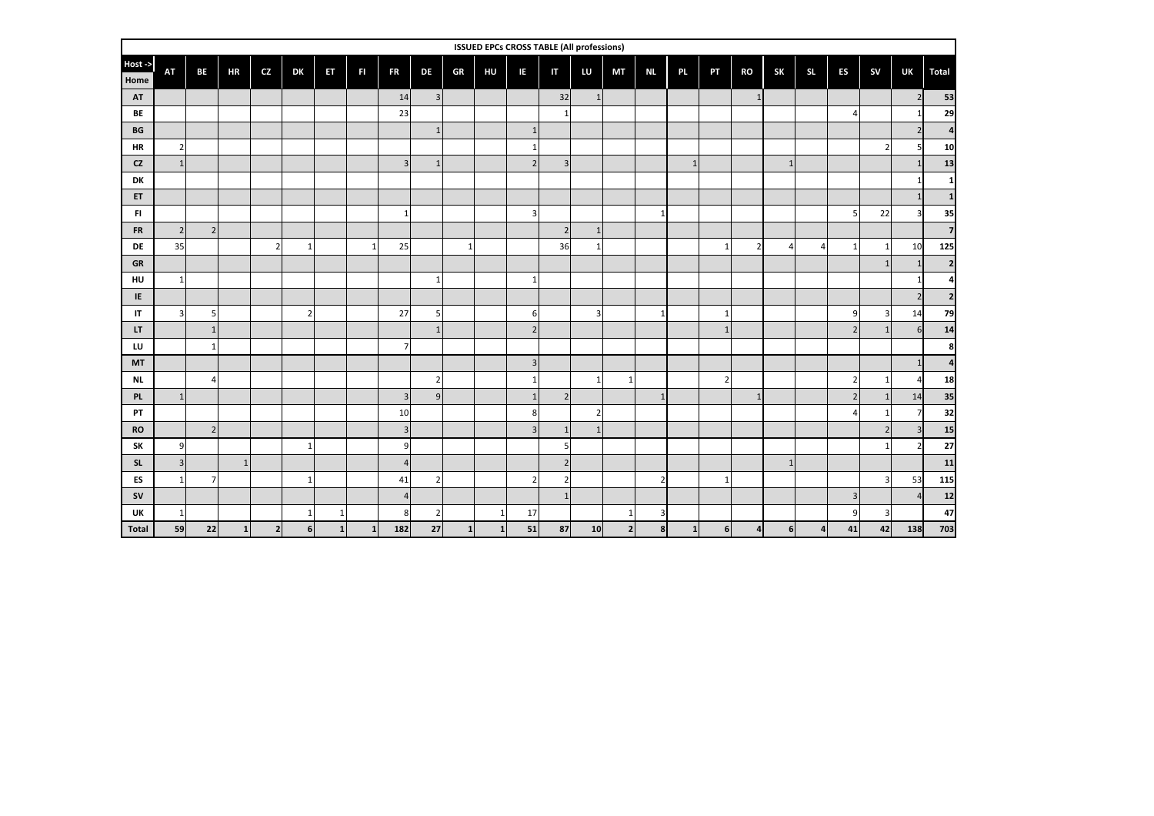|                        |                         |                          |              |                |                  |              |              |                  |                |              |              | <b>ISSUED EPCs CROSS TABLE (All professions)</b> |                         |                |              |                         |                |                |                |              |           |                |                         |     |                |
|------------------------|-------------------------|--------------------------|--------------|----------------|------------------|--------------|--------------|------------------|----------------|--------------|--------------|--------------------------------------------------|-------------------------|----------------|--------------|-------------------------|----------------|----------------|----------------|--------------|-----------|----------------|-------------------------|-----|----------------|
| Host -><br>Home        | <b>AT</b>               | BE                       | <b>HR</b>    | <b>CZ</b>      | DK               | ET           | FI           | <b>FR</b>        | DE             | GR           | HU           | IE.                                              | $\mathsf{I}$            | LU             | MT           | <b>NL</b>               | PL.            | PT             | <b>RO</b>      | <b>SK</b>    | <b>SL</b> | ES             | <b>SV</b>               | UK  | <b>Total</b>   |
| AT                     |                         |                          |              |                |                  |              |              | 14               | $\overline{3}$ |              |              |                                                  | 32                      | $\mathbf{1}$   |              |                         |                |                | $\mathbf{1}$   |              |           |                |                         |     | 53             |
| BE                     |                         |                          |              |                |                  |              |              | 23               |                |              |              |                                                  |                         |                |              |                         |                |                |                |              |           | $\overline{4}$ |                         |     | 29             |
| $\mathbf{B}\mathbf{G}$ |                         |                          |              |                |                  |              |              |                  |                |              |              | $\mathbf{1}$                                     |                         |                |              |                         |                |                |                |              |           |                |                         |     |                |
| <b>HR</b>              | $\overline{2}$          |                          |              |                |                  |              |              |                  |                |              |              |                                                  |                         |                |              |                         |                |                |                |              |           |                | $2 \overline{ }$        |     | 10             |
| CZ                     | 1                       |                          |              |                |                  |              |              | $\overline{3}$   |                |              |              | 2 <sup>1</sup>                                   | $\overline{\mathbf{3}}$ |                |              |                         | $\mathbf{1}$   |                |                |              |           |                |                         |     | 13             |
| DK                     |                         |                          |              |                |                  |              |              |                  |                |              |              |                                                  |                         |                |              |                         |                |                |                |              |           |                |                         |     |                |
| ET                     |                         |                          |              |                |                  |              |              |                  |                |              |              |                                                  |                         |                |              |                         |                |                |                |              |           |                |                         |     |                |
| FI.                    |                         |                          |              |                |                  |              |              | $\mathbf{1}$     |                |              |              | 3                                                |                         |                |              |                         |                |                |                |              |           | 5              | 22                      |     | 35             |
| <b>FR</b>              | 2                       | 2 <sup>1</sup>           |              |                |                  |              |              |                  |                |              |              |                                                  | $\overline{2}$          | $\mathbf{1}$   |              |                         |                |                |                |              |           |                |                         |     | $\overline{7}$ |
| <b>DE</b>              | 35                      |                          |              | $\overline{2}$ | $\mathbf{1}$     |              | $\mathbf{1}$ | 25               |                | $\mathbf{1}$ |              |                                                  | 36                      | $\overline{1}$ |              |                         |                | $\mathbf{1}$   | $\overline{2}$ | 4            | $\prime$  | $\mathbf{1}$   | $1\vert$                | 10  | 125            |
| GR                     |                         |                          |              |                |                  |              |              |                  |                |              |              |                                                  |                         |                |              |                         |                |                |                |              |           |                | $\mathbf{1}$            |     | $\overline{2}$ |
| HU                     | $\mathbf{1}$            |                          |              |                |                  |              |              |                  |                |              |              | $\mathbf{1}$                                     |                         |                |              |                         |                |                |                |              |           |                |                         |     | Δ              |
| IE                     |                         |                          |              |                |                  |              |              |                  |                |              |              |                                                  |                         |                |              |                         |                |                |                |              |           |                |                         |     | $\overline{2}$ |
| IT                     | $\overline{\mathbf{3}}$ | 5                        |              |                | $\overline{2}$   |              |              | 27               | 5              |              |              | 6                                                |                         | $\overline{3}$ |              | $\mathbf{1}$            |                | $\mathbf{1}$   |                |              |           | 9              | $\overline{3}$          | 14  | 79             |
| LT.                    |                         |                          |              |                |                  |              |              |                  |                |              |              | $2 \overline{)}$                                 |                         |                |              |                         |                | $\overline{1}$ |                |              |           | $\overline{2}$ | $1\overline{ }$         | 6   | 14             |
| LU                     |                         |                          |              |                |                  |              |              | $\overline{7}$   |                |              |              |                                                  |                         |                |              |                         |                |                |                |              |           |                |                         |     | 8              |
| <b>MT</b>              |                         |                          |              |                |                  |              |              |                  |                |              |              | $\overline{3}$                                   |                         |                |              |                         |                |                |                |              |           |                |                         |     | Δ              |
| <b>NL</b>              |                         | $\Delta$                 |              |                |                  |              |              |                  | $\overline{2}$ |              |              | $\mathbf{1}$                                     |                         | $\overline{1}$ | $\mathbf{1}$ |                         |                | $\overline{2}$ |                |              |           | $\overline{2}$ | $\mathbf{1}$            |     | 18             |
| PL                     | 1                       |                          |              |                |                  |              |              | $\overline{3}$   | $\overline{9}$ |              |              | 1                                                | 2 <sub>l</sub>          |                |              | $\mathbf{1}$            |                |                | $\mathbf{1}$   |              |           | $\overline{2}$ | $1\overline{ }$         | 14  | 35             |
| PT                     |                         |                          |              |                |                  |              |              | 10               |                |              |              | 8                                                |                         | $\overline{2}$ |              |                         |                |                |                |              |           | $\overline{4}$ | $\mathbf{1}$            |     | 32             |
| <b>RO</b>              |                         | $\overline{\phantom{a}}$ |              |                |                  |              |              | $\overline{3}$   |                |              |              | $\overline{3}$                                   | $\mathbf{1}$            | $\mathbf{1}$   |              |                         |                |                |                |              |           |                | $\overline{2}$          |     | 15             |
| SK                     | 9                       |                          |              |                | $\mathbf{1}$     |              |              | $\boldsymbol{9}$ |                |              |              |                                                  |                         |                |              |                         |                |                |                |              |           |                | $\mathbf{1}$            |     | 27             |
| <b>SL</b>              | 3                       |                          | $\mathbf{1}$ |                |                  |              |              | $\overline{4}$   |                |              |              |                                                  | 2 <sub>l</sub>          |                |              |                         |                |                |                | $\mathbf{1}$ |           |                |                         |     | 11             |
| ES                     | 1                       |                          |              |                | $\mathbf{1}$     |              |              | 41               | $\overline{2}$ |              |              | $\overline{2}$                                   |                         |                |              | $\overline{2}$          |                | $\mathbf{1}$   |                |              |           |                | 3 <sup>1</sup>          | 53  | 115            |
| <b>SV</b>              |                         |                          |              |                |                  |              |              | $\overline{4}$   |                |              |              |                                                  | $\mathbf{1}$            |                |              |                         |                |                |                |              |           | $\overline{3}$ |                         |     | 12             |
| UK                     | $\mathbf{1}$            |                          |              |                | $\mathbf{1}$     | $\mathbf{1}$ |              | $\bf8$           | $\overline{2}$ |              | $\mathbf{1}$ | 17                                               |                         |                | $\mathbf{1}$ | $\overline{\mathbf{3}}$ |                |                |                |              |           | 9              | $\overline{\mathbf{3}}$ |     | 47             |
| Total                  | 59                      | 22                       | $\mathbf{1}$ | $\mathbf{2}$   | $6 \overline{6}$ | 1            | $\mathbf{1}$ | 182              | 27             | $\mathbf{1}$ | $\mathbf{1}$ | 51                                               | 87                      | 10             | 2            | 8 <sup>1</sup>          | 1 <sup>1</sup> | 6              |                | 6            |           | 41             | 42                      | 138 | 703            |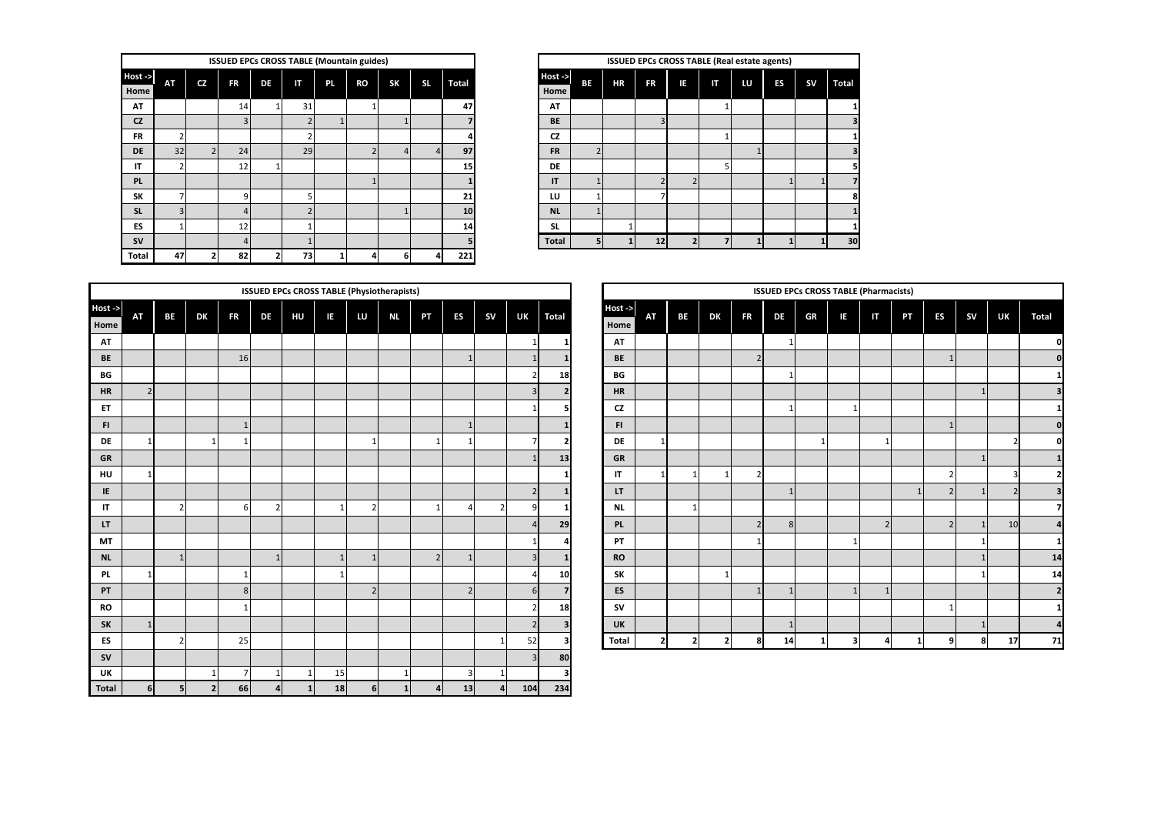|                 |                |                | <b>ISSUED EPCs CROSS TABLE (Mountain guides)</b> |    |    |     |    |           |     |              |                 |                |    |           |    |              |    | ISSUED EPCs CROSS TABLE (Real estate agents) |           |              |
|-----------------|----------------|----------------|--------------------------------------------------|----|----|-----|----|-----------|-----|--------------|-----------------|----------------|----|-----------|----|--------------|----|----------------------------------------------|-----------|--------------|
| Host -><br>Home | ΑT             | CZ             | <b>FR</b>                                        | DE | IΤ | PL. | RO | <b>SK</b> | SL. | <b>Total</b> | Host -><br>Home | BE             | HR | <b>FR</b> | IE | $\mathsf{I}$ | LU | <b>ES</b>                                    | <b>SV</b> | <b>Total</b> |
| AT              |                |                | 14                                               |    | 31 |     |    |           |     | 47           | AT              |                |    |           |    |              |    |                                              |           |              |
| <b>CZ</b>       |                |                |                                                  |    |    |     |    |           |     |              | <b>BE</b>       |                |    | 3         |    |              |    |                                              |           |              |
| <b>FR</b>       |                |                |                                                  |    |    |     |    |           |     |              | <b>CZ</b>       |                |    |           |    |              |    |                                              |           |              |
| <b>DE</b>       | 32             | $\overline{2}$ | 24                                               |    | 29 |     |    |           |     | 97           | <b>FR</b>       | $\overline{2}$ |    |           |    |              |    |                                              |           |              |
| IT              |                |                | 12                                               |    |    |     |    |           |     | 15           | <b>DE</b>       |                |    |           |    | 5            |    |                                              |           |              |
| PL              |                |                |                                                  |    |    |     |    |           |     |              | IT              |                |    |           |    |              |    |                                              |           |              |
| SK              |                |                | $\Omega$                                         |    |    |     |    |           |     | 21           | LU              |                |    |           |    |              |    |                                              |           | 8            |
| <b>SL</b>       | $\overline{3}$ |                |                                                  |    |    |     |    |           |     | 10           | <b>NL</b>       |                |    |           |    |              |    |                                              |           |              |
| ES              |                |                | 12                                               |    |    |     |    |           |     | 14           | <b>SL</b>       |                |    |           |    |              |    |                                              |           |              |
| <b>SV</b>       |                |                |                                                  |    |    |     |    |           |     |              | <b>Total</b>    | 5              |    | 12        |    |              |    |                                              |           | 30           |
| Total           | 47             |                | 82                                               |    | 73 |     |    | 6         |     | 221          |                 |                |    |           |    |              |    |                                              |           |              |

|    |     | <b>SS TABLE (Mountain guides)</b> |                |                |              |                |                |           | ISSUED EPCs CROSS TABLE (Real estate agents) |     |    |    |           |           |              |
|----|-----|-----------------------------------|----------------|----------------|--------------|----------------|----------------|-----------|----------------------------------------------|-----|----|----|-----------|-----------|--------------|
| IT | PL. | RO                                | SK             | <b>SL</b>      | <b>Total</b> | Host-><br>Home | BE             | <b>HR</b> | <b>FR</b>                                    | IE. | IT | LU | <b>ES</b> | <b>SV</b> | <b>Total</b> |
| 31 |     |                                   |                |                | 47           | AT             |                |           |                                              |     |    |    |           |           |              |
|    |     |                                   | 1              |                |              | <b>BE</b>      |                |           | Р                                            |     |    |    |           |           |              |
|    |     |                                   |                |                | 4            | <b>CZ</b>      |                |           |                                              |     |    |    |           |           |              |
| 29 |     |                                   | $\overline{4}$ | $\overline{4}$ | 97           | <b>FR</b>      | $\overline{ }$ |           |                                              |     |    |    |           |           |              |
|    |     |                                   |                |                | 15           | DE             |                |           |                                              |     |    |    |           |           |              |
|    |     |                                   |                |                |              | IT             |                |           |                                              |     |    |    |           |           |              |
| 5  |     |                                   |                |                | 21           | LU             |                |           |                                              |     |    |    |           |           | 8            |
|    |     |                                   |                |                | 10           | <b>NL</b>      |                |           |                                              |     |    |    |           |           |              |
|    |     |                                   |                |                | 14           | <b>SL</b>      |                |           |                                              |     |    |    |           |           |              |
|    |     |                                   |                |                | 5            | <b>Total</b>   | 5              |           | 12                                           |     |    |    |           |           | 30           |

|                      |                |                |                |           |                         |    |    |                | <b>ISSUED EPCs CROSS TABLE (Physiotherapists)</b> |                |                |                |                |                      |                |              |                |    |                |              | <b>ISSUED EPCs CROSS TABLE (Pharmacists)</b> |    |                          |              |                |           |    |                          |
|----------------------|----------------|----------------|----------------|-----------|-------------------------|----|----|----------------|---------------------------------------------------|----------------|----------------|----------------|----------------|----------------------|----------------|--------------|----------------|----|----------------|--------------|----------------------------------------------|----|--------------------------|--------------|----------------|-----------|----|--------------------------|
| Host -> $\,$<br>Home | AT             | BE             | DK             | <b>FR</b> | DE                      | HU | IΕ | LU             | NI.                                               | PT             | ES             | <b>SV</b>      | UK             | Total                | Host-><br>Home | AT           | BE             | DK | <b>FR</b>      | DE           | GR                                           | ΙE | IΤ                       | PT           | ES             | <b>SV</b> | UK | <b>Total</b>             |
| AT                   |                |                |                |           |                         |    |    |                |                                                   |                |                |                | $\mathbf{1}$   |                      | AT             |              |                |    |                | $\mathbf{1}$ |                                              |    |                          |              |                |           |    |                          |
| BE                   |                |                |                | 16        |                         |    |    |                |                                                   |                |                |                |                |                      | BE             |              |                |    | $\overline{2}$ |              |                                              |    |                          |              |                |           |    | 0                        |
| BG                   |                |                |                |           |                         |    |    |                |                                                   |                |                |                |                | 18<br>$\overline{2}$ | BG             |              |                |    |                |              |                                              |    |                          |              |                |           |    |                          |
| <b>HR</b>            | $\overline{2}$ |                |                |           |                         |    |    |                |                                                   |                |                |                |                |                      | <b>HR</b>      |              |                |    |                |              |                                              |    |                          |              |                |           |    | 3                        |
| ET                   |                |                |                |           |                         |    |    |                |                                                   |                |                |                |                |                      | CZ             |              |                |    |                |              |                                              |    |                          |              |                |           |    |                          |
| FI.                  |                |                |                | -1        |                         |    |    |                |                                                   |                |                |                |                |                      | FI.            |              |                |    |                |              |                                              |    |                          |              |                |           |    | 0                        |
| DE                   | $\mathbf{1}$   |                | -1             |           |                         |    |    |                |                                                   |                |                |                |                |                      | DE             | $\mathbf{1}$ |                |    |                |              |                                              |    |                          |              |                |           |    | 0                        |
| GR                   |                |                |                |           |                         |    |    |                |                                                   |                |                |                | $\mathbf{1}$   | 13                   | GR             |              |                |    |                |              |                                              |    |                          |              |                |           |    | $\mathbf{1}$             |
| HU                   | $\mathbf{1}$   |                |                |           |                         |    |    |                |                                                   |                |                |                |                |                      | IT             | $\mathbf{1}$ | $\mathbf{1}$   |    | $\overline{2}$ |              |                                              |    |                          |              | $\overline{2}$ |           |    |                          |
| IE                   |                |                |                |           |                         |    |    |                |                                                   |                |                |                |                | 2 <sup>1</sup>       | LT.            |              |                |    |                |              |                                              |    |                          | $\mathbf{1}$ | $\overline{2}$ |           |    | 3                        |
| IT                   |                | $\overline{2}$ |                | 6         | $\overline{2}$          |    |    |                |                                                   |                |                | $\mathcal{P}$  | a              |                      | <b>NL</b>      |              | $\mathbf{1}$   |    |                |              |                                              |    |                          |              |                |           |    |                          |
| LT.                  |                |                |                |           |                         |    |    |                |                                                   |                |                |                | $\Delta$       | 29                   | PL             |              |                |    | $\overline{2}$ | 8            |                                              |    | $\overline{\phantom{0}}$ |              | 2 <sup>1</sup> |           | 10 |                          |
| MT                   |                |                |                |           |                         |    |    |                |                                                   |                |                |                |                |                      | PT             |              |                |    | $\mathbf{1}$   |              |                                              |    |                          |              |                |           |    | -1                       |
| <b>NL</b>            |                | $\mathbf{1}$   |                |           | $\mathbf{1}$            |    |    |                |                                                   | $\overline{2}$ |                |                | $\overline{3}$ |                      | <b>RO</b>      |              |                |    |                |              |                                              |    |                          |              |                |           |    | 14                       |
| <b>PL</b>            | $\mathbf{1}$   |                |                | -1        |                         |    |    |                |                                                   |                |                |                |                | 10                   | SK             |              |                |    |                |              |                                              |    |                          |              |                |           |    | 14                       |
| PT                   |                |                |                | 8         |                         |    |    |                |                                                   |                | $\overline{2}$ |                |                | 6<br>7               | ES             |              |                |    | $\mathbf{1}$   |              |                                              |    |                          |              |                |           |    | $\overline{\phantom{a}}$ |
| RO                   |                |                |                |           |                         |    |    |                |                                                   |                |                |                |                | 18                   | sv             |              |                |    |                |              |                                              |    |                          |              |                |           |    |                          |
| <b>SK</b>            | $\mathbf{1}$   |                |                |           |                         |    |    |                |                                                   |                |                |                | $\mathcal{D}$  | 3                    | UK             |              |                |    |                |              |                                              |    |                          |              |                |           |    | $\overline{a}$           |
| ES                   |                | $\overline{2}$ |                | 25        |                         |    |    |                |                                                   |                |                |                | 52             |                      | Total          | C            | $\overline{2}$ | 2  | 8              | 14           |                                              |    |                          |              |                |           | 17 | 71                       |
| <b>SV</b>            |                |                |                |           |                         |    |    |                |                                                   |                |                |                |                | 80                   |                |              |                |    |                |              |                                              |    |                          |              |                |           |    |                          |
| UK                   |                |                |                | 7         | $\mathbf{1}$            |    | 15 |                |                                                   |                |                |                |                | з                    |                |              |                |    |                |              |                                              |    |                          |              |                |           |    |                          |
| Total                | 6              | 5 <sup>1</sup> | $\overline{2}$ | 66        | $\overline{\mathbf{a}}$ | 1  | 18 | 6 <sup>1</sup> | 1                                                 | $\overline{4}$ | 13             | $\overline{a}$ | 104            | 234                  |                |              |                |    |                |              |                                              |    |                          |              |                |           |    |                          |

|                |                |                |                |                         | <b>ISSUED EPCs CROSS TABLE (Pharmacists)</b> |              |              |              |                |              |              |              |                |    |                |              |                |                         |
|----------------|----------------|----------------|----------------|-------------------------|----------------------------------------------|--------------|--------------|--------------|----------------|--------------|--------------|--------------|----------------|----|----------------|--------------|----------------|-------------------------|
| PT             | <b>ES</b>      | <b>SV</b>      | UK             | Total                   | Host -><br>Home                              | AT           | BE           | DK           | <b>FR</b>      | DE           | GR           | IE           | IT             | PT | ES             | <b>SV</b>    | UK             | <b>Total</b>            |
|                |                |                |                | 1                       | AT                                           |              |              |              |                | 1            |              |              |                |    |                |              |                | <sub>0</sub>            |
|                | $\mathbf{1}$   |                | $\mathbf{1}$   | $\mathbf{1}$            | <b>BE</b>                                    |              |              |              | $\overline{2}$ |              |              |              |                |    | $\mathbf{1}$   |              |                | $\mathbf{0}$            |
|                |                |                | $\overline{2}$ | 18                      | BG                                           |              |              |              |                | 1            |              |              |                |    |                |              |                | $\mathbf{1}$            |
|                |                |                | 3              | $\overline{2}$          | <b>HR</b>                                    |              |              |              |                |              |              |              |                |    |                | 1            |                | 3                       |
|                |                |                | $\mathbf{1}$   | 5                       | CZ                                           |              |              |              |                | $\mathbf{1}$ |              | $\mathbf{1}$ |                |    |                |              |                | $1\vert$                |
|                | $\mathbf{1}$   |                |                | $\mathbf{1}$            | F1                                           |              |              |              |                |              |              |              |                |    | $\mathbf{1}$   |              |                | $\mathbf 0$             |
| $\mathbf{1}$   | 1              |                | 7              | $\overline{\mathbf{2}}$ | <b>DE</b>                                    | $\mathbf{1}$ |              |              |                |              | $\mathbf{1}$ |              | $1\,$          |    |                |              | $\mathcal{P}$  | $\mathbf{0}$            |
|                |                |                | $\mathbf{1}$   | 13                      | <b>GR</b>                                    |              |              |              |                |              |              |              |                |    |                | $\mathbf{1}$ |                | $\mathbf{1}$            |
|                |                |                |                | 1                       | IT                                           | $\mathbf{1}$ | $\mathbf{1}$ | $\mathbf{1}$ | $\overline{2}$ |              |              |              |                |    | $\overline{2}$ |              | 3              | $\mathbf{z}$            |
|                |                |                | $\overline{2}$ | $\mathbf{1}$            | <b>LT</b>                                    |              |              |              |                | $\mathbf{1}$ |              |              |                | 1  | $\overline{2}$ | 1            | $\overline{2}$ | $\overline{\mathbf{3}}$ |
| 1              | $\overline{4}$ | $\overline{2}$ | 9              | 1                       | <b>NL</b>                                    |              | $\mathbf{1}$ |              |                |              |              |              |                |    |                |              |                | $\overline{z}$          |
|                |                |                | $\overline{4}$ | 29                      | PL                                           |              |              |              | $\overline{2}$ | 8            |              |              | $\overline{2}$ |    | $\overline{2}$ | 1            | 10             | $\overline{4}$          |
|                |                |                | $\mathbf{1}$   | 4                       | PT                                           |              |              |              | 1              |              |              | $\mathbf{1}$ |                |    |                | 1            |                | $1\overline{ }$         |
| $\overline{2}$ | $\mathbf{1}$   |                | $\overline{3}$ | $\mathbf{1}$            | <b>RO</b>                                    |              |              |              |                |              |              |              |                |    |                | $\mathbf{1}$ |                | 14                      |
|                |                |                | $\overline{a}$ | 10                      | SK                                           |              |              | $\mathbf{1}$ |                |              |              |              |                |    |                | 1            |                | 14                      |
|                | $\overline{2}$ |                | 6              | $\overline{7}$          | <b>ES</b>                                    |              |              |              | $\mathbf{1}$   | $\mathbf{1}$ |              | $\mathbf{1}$ | $\mathbf{1}$   |    |                |              |                | $\mathbf{2}$            |
|                |                |                | $\overline{2}$ | 18                      | <b>SV</b>                                    |              |              |              |                |              |              |              |                |    | $\mathbf{1}$   |              |                | $\mathbf{1}$            |
|                |                |                | $\overline{2}$ | $\overline{\mathbf{3}}$ | <b>UK</b>                                    |              |              |              |                | $\mathbf{1}$ |              |              |                |    |                | $\mathbf{1}$ |                | 4                       |
|                |                | 1              | 52             | $\overline{\mathbf{3}}$ | Total                                        | $\mathbf{2}$ | $\mathbf{2}$ | $\mathbf{2}$ | 8              | 14           | 1            | 3            | 4              | 1  | 9              | 8            | 17             | 71                      |